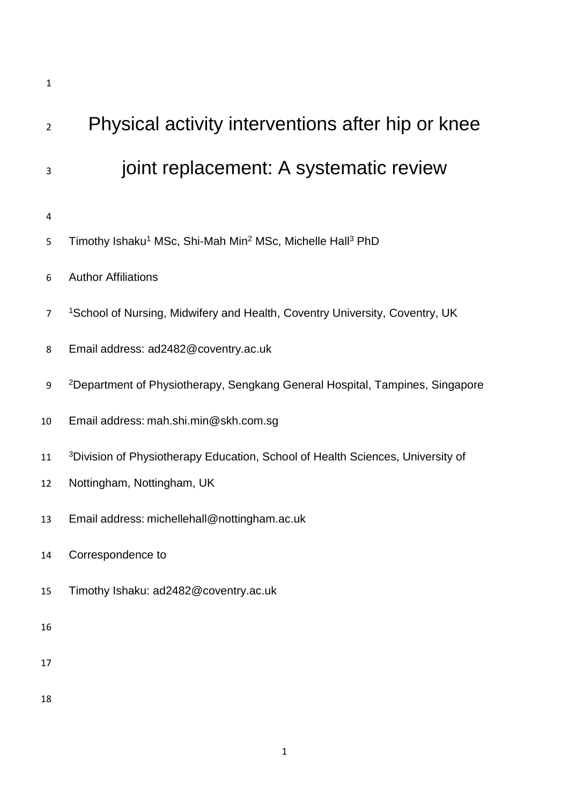| $\overline{2}$ | Physical activity interventions after hip or knee                                             |
|----------------|-----------------------------------------------------------------------------------------------|
| 3              | joint replacement: A systematic review                                                        |
| 4              |                                                                                               |
| 5              | Timothy Ishaku <sup>1</sup> MSc, Shi-Mah Min <sup>2</sup> MSc, Michelle Hall <sup>3</sup> PhD |
| 6              | <b>Author Affiliations</b>                                                                    |
| 7              | <sup>1</sup> School of Nursing, Midwifery and Health, Coventry University, Coventry, UK       |
| 8              | Email address: ad2482@coventry.ac.uk                                                          |
| 9              | <sup>2</sup> Department of Physiotherapy, Sengkang General Hospital, Tampines, Singapore      |
| 10             | Email address: mah.shi.min@skh.com.sg                                                         |
| 11             | <sup>3</sup> Division of Physiotherapy Education, School of Health Sciences, University of    |
| 12             | Nottingham, Nottingham, UK                                                                    |
| 13             | Email address: michellehall@nottingham.ac.uk                                                  |
| 14             | Correspondence to                                                                             |
| 15             | Timothy Ishaku: ad2482@coventry.ac.uk                                                         |
| 16             |                                                                                               |
| 17             |                                                                                               |
| 18             |                                                                                               |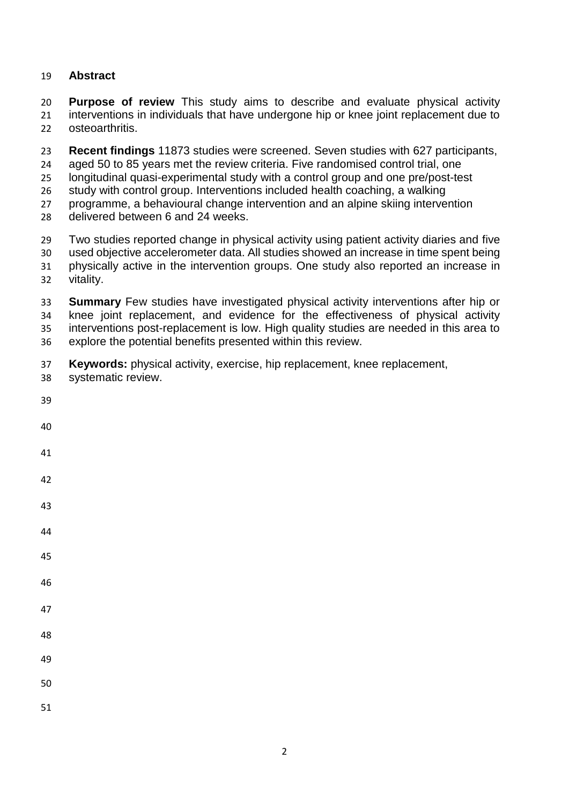# **Abstract**

 **Purpose of review** This study aims to describe and evaluate physical activity interventions in individuals that have undergone hip or knee joint replacement due to osteoarthritis.

**Recent findings** 11873 studies were screened. Seven studies with 627 participants,

aged 50 to 85 years met the review criteria. Five randomised control trial, one

longitudinal quasi-experimental study with a control group and one pre/post-test

study with control group. Interventions included health coaching, a walking

programme, a behavioural change intervention and an alpine skiing intervention

delivered between 6 and 24 weeks.

Two studies reported change in physical activity using patient activity diaries and five

 used objective accelerometer data. All studies showed an increase in time spent being physically active in the intervention groups. One study also reported an increase in vitality.

 **Summary** Few studies have investigated physical activity interventions after hip or knee joint replacement, and evidence for the effectiveness of physical activity interventions post-replacement is low. High quality studies are needed in this area to explore the potential benefits presented within this review.

**Keywords:** physical activity, exercise, hip replacement, knee replacement,

- systematic review.
-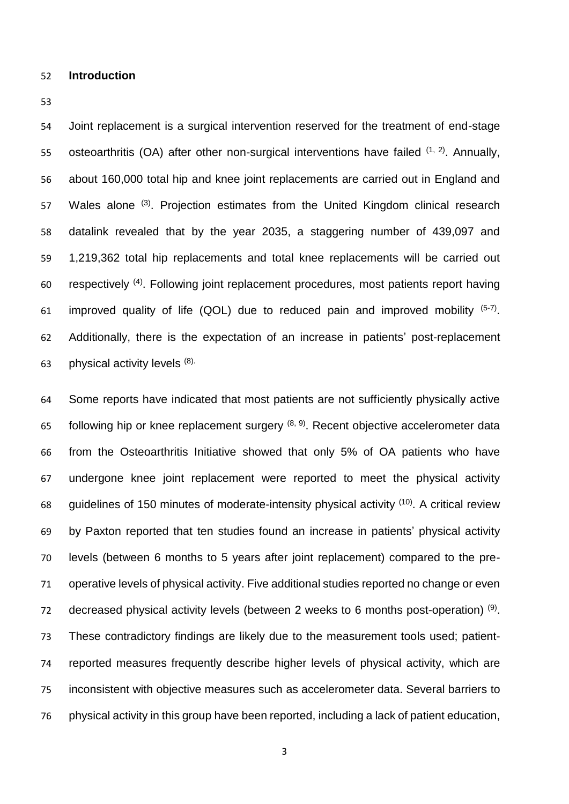### **Introduction**

 Joint replacement is a surgical intervention reserved for the treatment of end-stage 55 osteoarthritis (OA) after other non-surgical interventions have failed  $(1, 2)$ . Annually, about 160,000 total hip and knee joint replacements are carried out in England and 57 Wales alone <sup>(3)</sup>. Projection estimates from the United Kingdom clinical research datalink revealed that by the year 2035, a staggering number of 439,097 and 1,219,362 total hip replacements and total knee replacements will be carried out 60 respectively (4). Following joint replacement procedures, most patients report having 61 improved quality of life (QOL) due to reduced pain and improved mobility  $(5-7)$ . Additionally, there is the expectation of an increase in patients' post-replacement 63 physical activity levels  $(8)$ .

 Some reports have indicated that most patients are not sufficiently physically active 65 following hip or knee replacement surgery  $(8, 9)$ . Recent objective accelerometer data from the Osteoarthritis Initiative showed that only 5% of OA patients who have undergone knee joint replacement were reported to meet the physical activity 68 guidelines of 150 minutes of moderate-intensity physical activity  $(10)$ . A critical review by Paxton reported that ten studies found an increase in patients' physical activity levels (between 6 months to 5 years after joint replacement) compared to the pre- operative levels of physical activity. Five additional studies reported no change or even 72 decreased physical activity levels (between 2 weeks to 6 months post-operation)  $(9)$ . These contradictory findings are likely due to the measurement tools used; patient- reported measures frequently describe higher levels of physical activity, which are inconsistent with objective measures such as accelerometer data. Several barriers to physical activity in this group have been reported, including a lack of patient education,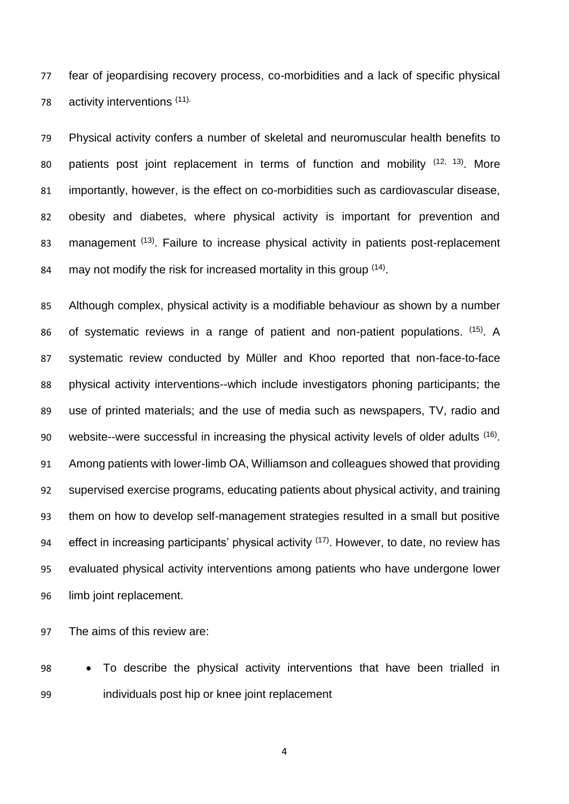fear of jeopardising recovery process, co-morbidities and a lack of specific physical 78 activity interventions (11).

 Physical activity confers a number of skeletal and neuromuscular health benefits to 80 patients post joint replacement in terms of function and mobility  $(12, 13)$ . More importantly, however, is the effect on co-morbidities such as cardiovascular disease, obesity and diabetes, where physical activity is important for prevention and 83 management (13). Failure to increase physical activity in patients post-replacement 84 may not modify the risk for increased mortality in this group  $(14)$ .

 Although complex, physical activity is a modifiable behaviour as shown by a number 86 of systematic reviews in a range of patient and non-patient populations.  $(15)$ . A systematic review conducted by Müller and Khoo reported that non-face-to-face physical activity interventions--which include investigators phoning participants; the use of printed materials; and the use of media such as newspapers, TV, radio and 90 website--were successful in increasing the physical activity levels of older adults (16). Among patients with lower-limb OA, Williamson and colleagues showed that providing supervised exercise programs, educating patients about physical activity, and training them on how to develop self-management strategies resulted in a small but positive 94 effect in increasing participants' physical activity  $(17)$ . However, to date, no review has evaluated physical activity interventions among patients who have undergone lower limb joint replacement.

The aims of this review are:

 To describe the physical activity interventions that have been trialled in individuals post hip or knee joint replacement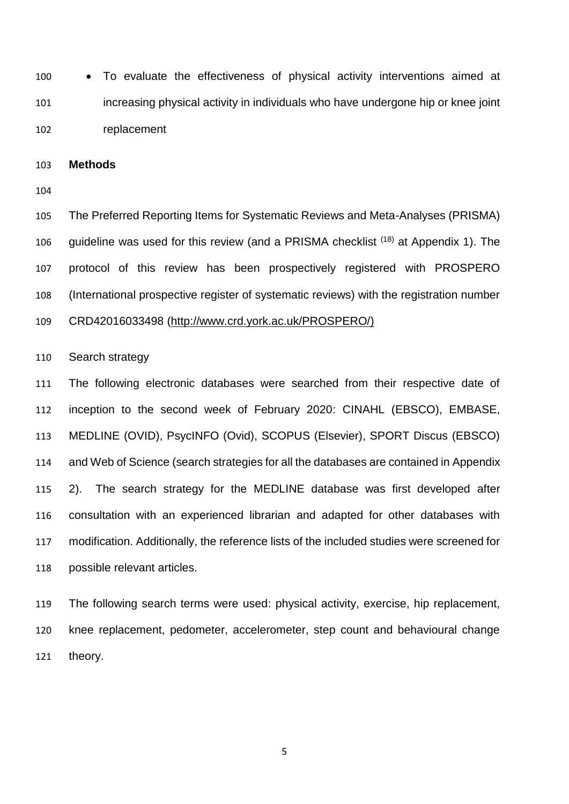To evaluate the effectiveness of physical activity interventions aimed at increasing physical activity in individuals who have undergone hip or knee joint replacement

**Methods**

 The Preferred Reporting Items for Systematic Reviews and Meta-Analyses (PRISMA) 106 quideline was used for this review (and a PRISMA checklist  $(18)$  at Appendix 1). The protocol of this review has been prospectively registered with PROSPERO (International prospective register of systematic reviews) with the registration number

CRD42016033498 [\(http://www.crd.york.ac.uk/PROSPERO/\)](http://www.crd.york.ac.uk/PROSPERO/)

Search strategy

 The following electronic databases were searched from their respective date of inception to the second week of February 2020: CINAHL (EBSCO), EMBASE, MEDLINE (OVID), PsycINFO (Ovid), SCOPUS (Elsevier), SPORT Discus (EBSCO) and Web of Science (search strategies for all the databases are contained in Appendix 2). The search strategy for the MEDLINE database was first developed after consultation with an experienced librarian and adapted for other databases with modification. Additionally, the reference lists of the included studies were screened for possible relevant articles.

 The following search terms were used: physical activity, exercise, hip replacement, knee replacement, pedometer, accelerometer, step count and behavioural change theory.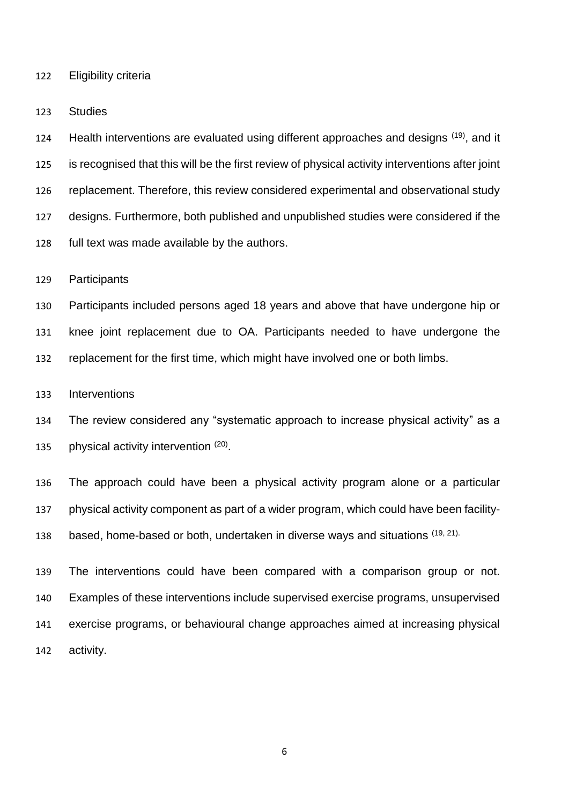Eligibility criteria

Studies

124 Health interventions are evaluated using different approaches and designs  $(19)$ , and it is recognised that this will be the first review of physical activity interventions after joint replacement. Therefore, this review considered experimental and observational study designs. Furthermore, both published and unpublished studies were considered if the full text was made available by the authors.

Participants

 Participants included persons aged 18 years and above that have undergone hip or knee joint replacement due to OA. Participants needed to have undergone the replacement for the first time, which might have involved one or both limbs.

Interventions

 The review considered any "systematic approach to increase physical activity" as a 135 bhysical activity intervention  $(20)$ .

 The approach could have been a physical activity program alone or a particular physical activity component as part of a wider program, which could have been facility-138 based, home-based or both, undertaken in diverse ways and situations (19, 21).

 The interventions could have been compared with a comparison group or not. Examples of these interventions include supervised exercise programs, unsupervised exercise programs, or behavioural change approaches aimed at increasing physical activity.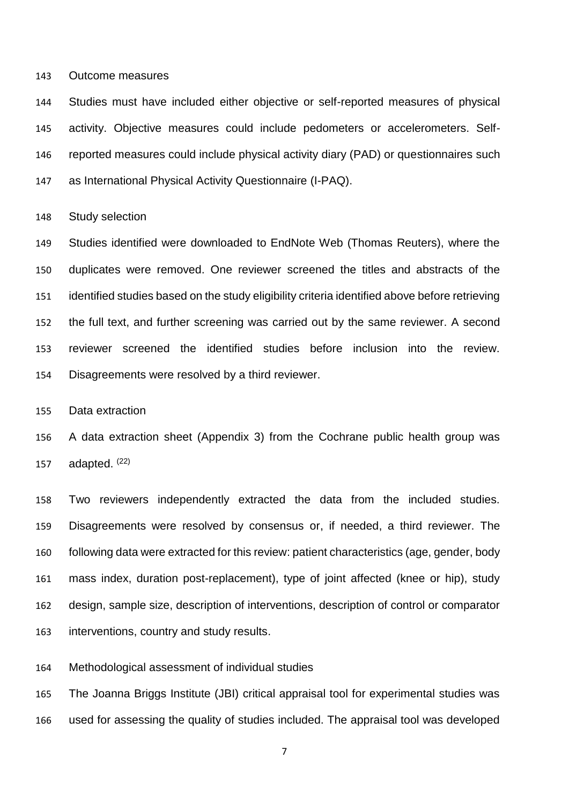Outcome measures

 Studies must have included either objective or self-reported measures of physical activity. Objective measures could include pedometers or accelerometers. Self- reported measures could include physical activity diary (PAD) or questionnaires such as International Physical Activity Questionnaire (I-PAQ).

Study selection

 Studies identified were downloaded to EndNote Web (Thomas Reuters), where the duplicates were removed. One reviewer screened the titles and abstracts of the identified studies based on the study eligibility criteria identified above before retrieving the full text, and further screening was carried out by the same reviewer. A second reviewer screened the identified studies before inclusion into the review. Disagreements were resolved by a third reviewer.

Data extraction

 A data extraction sheet (Appendix 3) from the Cochrane public health group was 157 adapted. (22)

 Two reviewers independently extracted the data from the included studies. Disagreements were resolved by consensus or, if needed, a third reviewer. The following data were extracted for this review: patient characteristics (age, gender, body mass index, duration post-replacement), type of joint affected (knee or hip), study design, sample size, description of interventions, description of control or comparator interventions, country and study results.

Methodological assessment of individual studies

 The Joanna Briggs Institute (JBI) critical appraisal tool for experimental studies was used for assessing the quality of studies included. The appraisal tool was developed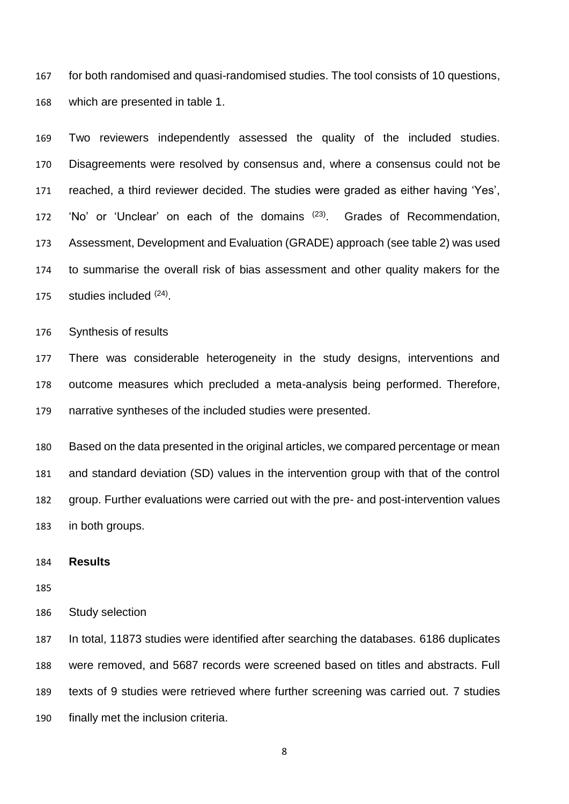for both randomised and quasi-randomised studies. The tool consists of 10 questions, which are presented in table 1.

 Two reviewers independently assessed the quality of the included studies. Disagreements were resolved by consensus and, where a consensus could not be reached, a third reviewer decided. The studies were graded as either having 'Yes', 172 'No' or 'Unclear' on each of the domains <sup>(23)</sup>. Grades of Recommendation, Assessment, Development and Evaluation (GRADE) approach (see table 2) was used to summarise the overall risk of bias assessment and other quality makers for the 175 studies included  $(24)$ .

Synthesis of results

 There was considerable heterogeneity in the study designs, interventions and outcome measures which precluded a meta-analysis being performed. Therefore, narrative syntheses of the included studies were presented.

 Based on the data presented in the original articles, we compared percentage or mean and standard deviation (SD) values in the intervention group with that of the control group. Further evaluations were carried out with the pre- and post-intervention values in both groups.

# **Results**

Study selection

 In total, 11873 studies were identified after searching the databases. 6186 duplicates were removed, and 5687 records were screened based on titles and abstracts. Full texts of 9 studies were retrieved where further screening was carried out. 7 studies finally met the inclusion criteria.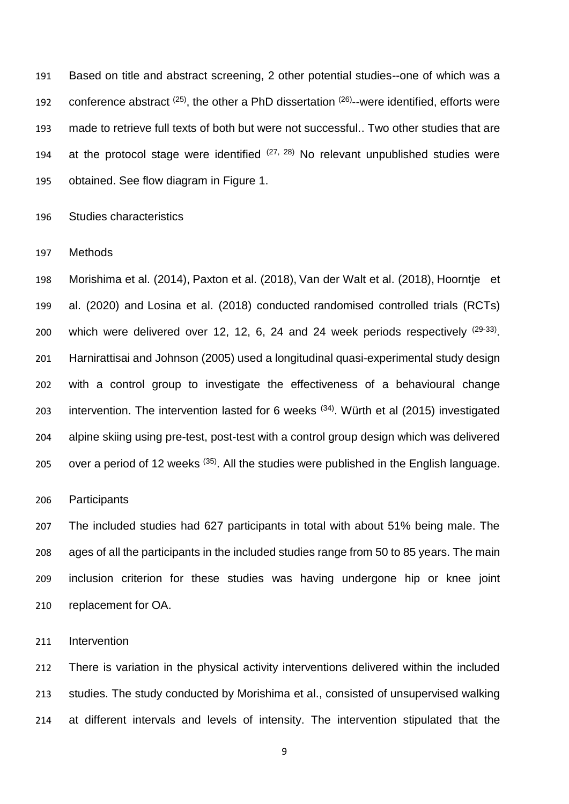Based on title and abstract screening, 2 other potential studies--one of which was a 192 conference abstract  $(25)$ , the other a PhD dissertation  $(26)$ -were identified, efforts were made to retrieve full texts of both but were not successful.. Two other studies that are 194 at the protocol stage were identified  $(27, 28)$  No relevant unpublished studies were obtained. See flow diagram in Figure 1.

Studies characteristics

Methods

 Morishima et al. (2014), Paxton et al. (2018), Van der Walt et al. (2018), Hoorntje et al. (2020) and Losina et al. (2018) conducted randomised controlled trials (RCTs) 200 which were delivered over 12, 12, 6, 24 and 24 week periods respectively  $(29-33)$ . Harnirattisai and Johnson (2005) used a longitudinal quasi-experimental study design with a control group to investigate the effectiveness of a behavioural change 203 intervention. The intervention lasted for 6 weeks  $(34)$ . Würth et al (2015) investigated alpine skiing using pre-test, post-test with a control group design which was delivered 205 over a period of 12 weeks  $(35)$ . All the studies were published in the English language.

Participants

 The included studies had 627 participants in total with about 51% being male. The ages of all the participants in the included studies range from 50 to 85 years. The main inclusion criterion for these studies was having undergone hip or knee joint replacement for OA.

Intervention

 There is variation in the physical activity interventions delivered within the included studies. The study conducted by Morishima et al., consisted of unsupervised walking at different intervals and levels of intensity. The intervention stipulated that the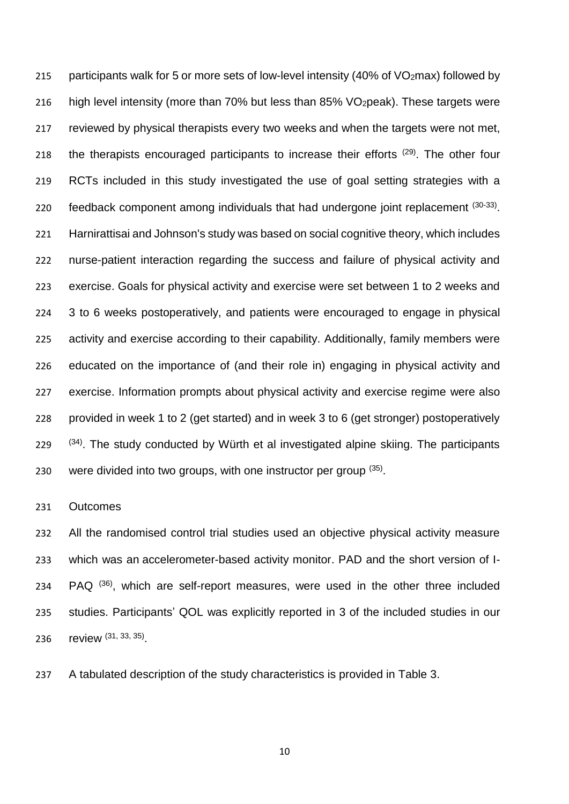215 participants walk for 5 or more sets of low-level intensity (40% of VO<sub>2</sub>max) followed by high level intensity (more than 70% but less than 85% VO2peak). These targets were reviewed by physical therapists every two weeks and when the targets were not met, 218 the therapists encouraged participants to increase their efforts <sup>(29)</sup>. The other four RCTs included in this study investigated the use of goal setting strategies with a 220 feedback component among individuals that had undergone joint replacement  $(30-33)$ . Harnirattisai and Johnson's study was based on social cognitive theory, which includes nurse-patient interaction regarding the success and failure of physical activity and exercise. Goals for physical activity and exercise were set between 1 to 2 weeks and 3 to 6 weeks postoperatively, and patients were encouraged to engage in physical activity and exercise according to their capability. Additionally, family members were educated on the importance of (and their role in) engaging in physical activity and exercise. Information prompts about physical activity and exercise regime were also provided in week 1 to 2 (get started) and in week 3 to 6 (get stronger) postoperatively  $(34)$   $(34)$ . The study conducted by Würth et al investigated alpine skiing. The participants 230 were divided into two groups, with one instructor per group  $(35)$ .

# Outcomes

 All the randomised control trial studies used an objective physical activity measure which was an accelerometer-based activity monitor. PAD and the short version of I- $\cdot$  PAQ  $(36)$ , which are self-report measures, were used in the other three included studies. Participants' QOL was explicitly reported in 3 of the included studies in our 236 review (31, 33, 35)

A tabulated description of the study characteristics is provided in Table 3.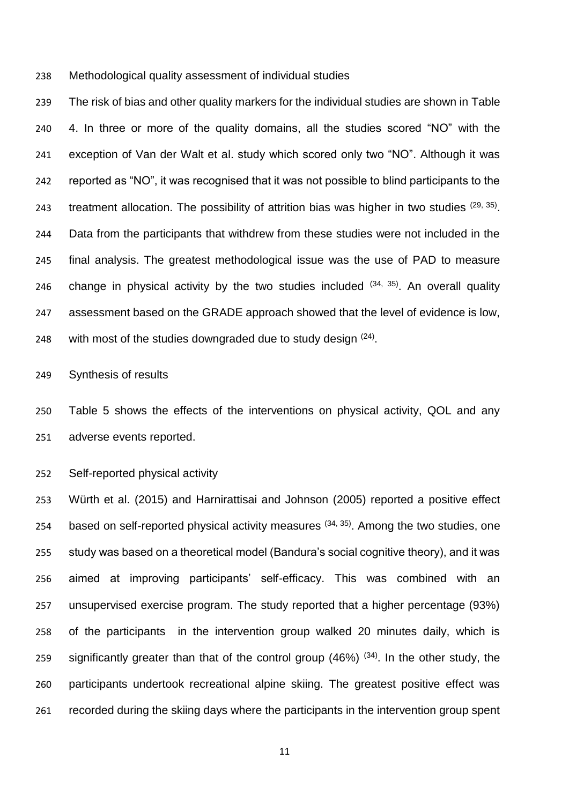Methodological quality assessment of individual studies

 The risk of bias and other quality markers for the individual studies are shown in Table 4. In three or more of the quality domains, all the studies scored "NO" with the exception of Van der Walt et al. study which scored only two "NO". Although it was reported as "NO", it was recognised that it was not possible to blind participants to the 243 treatment allocation. The possibility of attrition bias was higher in two studies  $(29, 35)$ . Data from the participants that withdrew from these studies were not included in the final analysis. The greatest methodological issue was the use of PAD to measure 246 change in physical activity by the two studies included  $(34, 35)$ . An overall quality assessment based on the GRADE approach showed that the level of evidence is low, 248 with most of the studies downgraded due to study design  $(24)$ .

Synthesis of results

 Table 5 shows the effects of the interventions on physical activity, QOL and any adverse events reported.

Self-reported physical activity

 Würth et al. (2015) and Harnirattisai and Johnson (2005) reported a positive effect 254 based on self-reported physical activity measures  $(34, 35)$ . Among the two studies, one study was based on a theoretical model (Bandura's social cognitive theory), and it was aimed at improving participants' self-efficacy. This was combined with an unsupervised exercise program. The study reported that a higher percentage (93%) of the participants in the intervention group walked 20 minutes daily, which is 259 significantly greater than that of the control group  $(46%)$   $(34)$ . In the other study, the participants undertook recreational alpine skiing. The greatest positive effect was recorded during the skiing days where the participants in the intervention group spent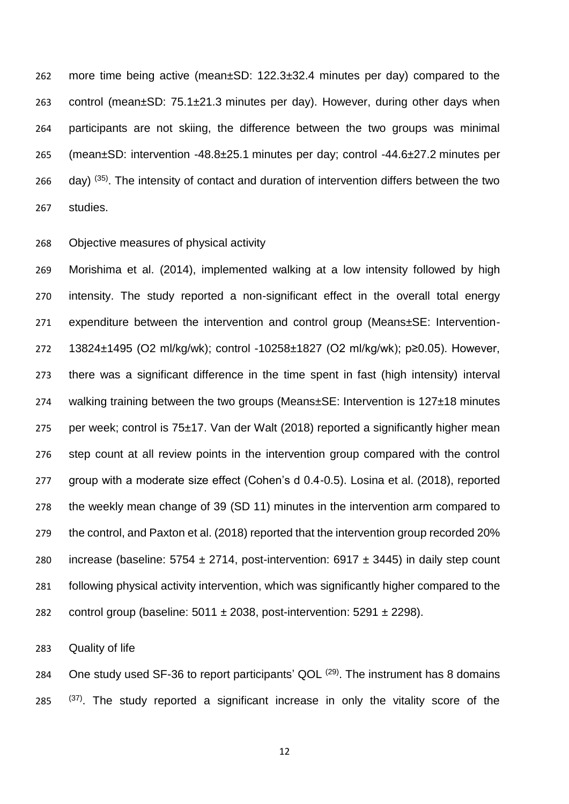more time being active (mean±SD: 122.3±32.4 minutes per day) compared to the control (mean±SD: 75.1±21.3 minutes per day). However, during other days when participants are not skiing, the difference between the two groups was minimal (mean±SD: intervention -48.8±25.1 minutes per day; control -44.6±27.2 minutes per  $\alpha$  day) (35). The intensity of contact and duration of intervention differs between the two studies.

# Objective measures of physical activity

 Morishima et al. (2014), implemented walking at a low intensity followed by high intensity. The study reported a non-significant effect in the overall total energy expenditure between the intervention and control group (Means±SE: Intervention- 13824±1495 (O2 ml/kg/wk); control -10258±1827 (O2 ml/kg/wk); p≥0.05). However, there was a significant difference in the time spent in fast (high intensity) interval 274 walking training between the two groups (Means $\pm$ SE: Intervention is 127 $\pm$ 18 minutes per week; control is 75±17. Van der Walt (2018) reported a significantly higher mean step count at all review points in the intervention group compared with the control group with a moderate size effect (Cohen's d 0.4-0.5). Losina et al. (2018), reported the weekly mean change of 39 (SD 11) minutes in the intervention arm compared to the control, and Paxton et al. (2018) reported that the intervention group recorded 20% 280 increase (baseline:  $5754 \pm 2714$ , post-intervention:  $6917 \pm 3445$ ) in daily step count following physical activity intervention, which was significantly higher compared to the 282 control group (baseline:  $5011 \pm 2038$ , post-intervention:  $5291 \pm 2298$ ).

Quality of life

284 One study used SF-36 to report participants' QOL  $(29)$ . The instrument has 8 domains  $(37)$ . The study reported a significant increase in only the vitality score of the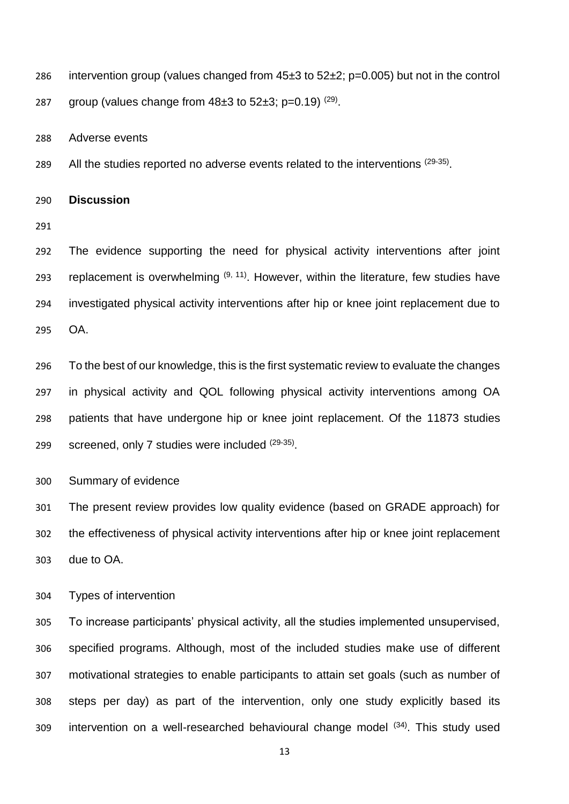286 intervention group (values changed from  $45\pm3$  to  $52\pm2$ ; p=0.005) but not in the control

287 group (values change from  $48\pm3$  to  $52\pm3$ ; p=0.19) <sup>(29)</sup>.

Adverse events

289 All the studies reported no adverse events related to the interventions  $(29-35)$ .

**Discussion**

 The evidence supporting the need for physical activity interventions after joint 293 replacement is overwhelming  $(9, 11)$ . However, within the literature, few studies have investigated physical activity interventions after hip or knee joint replacement due to OA.

 To the best of our knowledge, this is the first systematic review to evaluate the changes in physical activity and QOL following physical activity interventions among OA patients that have undergone hip or knee joint replacement. Of the 11873 studies 299 screened, only 7 studies were included (29-35).

Summary of evidence

 The present review provides low quality evidence (based on GRADE approach) for the effectiveness of physical activity interventions after hip or knee joint replacement due to OA.

Types of intervention

 To increase participants' physical activity, all the studies implemented unsupervised, specified programs. Although, most of the included studies make use of different motivational strategies to enable participants to attain set goals (such as number of steps per day) as part of the intervention, only one study explicitly based its 309 intervention on a well-researched behavioural change model  $(34)$ . This study used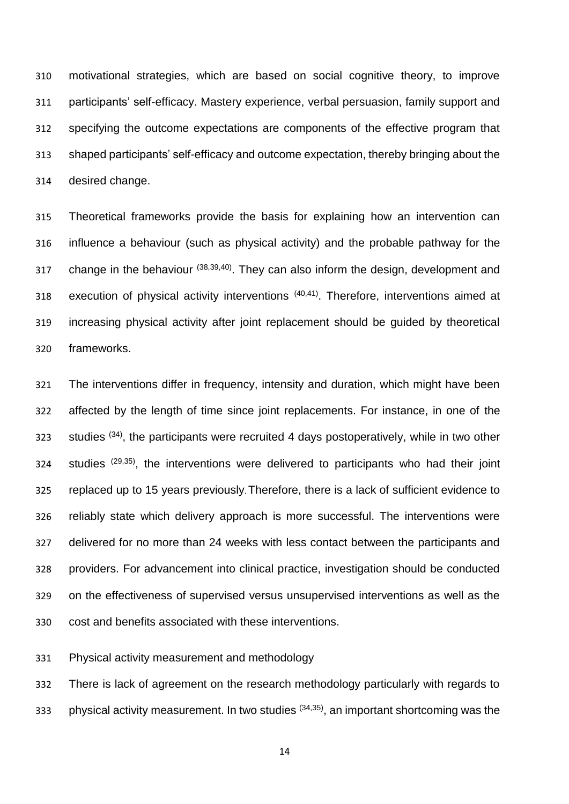motivational strategies, which are based on social cognitive theory, to improve participants' self-efficacy. Mastery experience, verbal persuasion, family support and specifying the outcome expectations are components of the effective program that shaped participants' self-efficacy and outcome expectation, thereby bringing about the desired change.

 Theoretical frameworks provide the basis for explaining how an intervention can influence a behaviour (such as physical activity) and the probable pathway for the 317 change in the behaviour  $(38,39,40)$ . They can also inform the design, development and 318 execution of physical activity interventions  $(40,41)$ . Therefore, interventions aimed at increasing physical activity after joint replacement should be guided by theoretical frameworks.

 The interventions differ in frequency, intensity and duration, which might have been affected by the length of time since joint replacements. For instance, in one of the studies  $(34)$ , the participants were recruited 4 days postoperatively, while in two other studies  $(29,35)$ , the interventions were delivered to participants who had their joint replaced up to 15 years previously. Therefore, there is a lack of sufficient evidence to reliably state which delivery approach is more successful. The interventions were delivered for no more than 24 weeks with less contact between the participants and providers. For advancement into clinical practice, investigation should be conducted on the effectiveness of supervised versus unsupervised interventions as well as the cost and benefits associated with these interventions.

Physical activity measurement and methodology

 There is lack of agreement on the research methodology particularly with regards to 333 physical activity measurement. In two studies  $(34,35)$ , an important shortcoming was the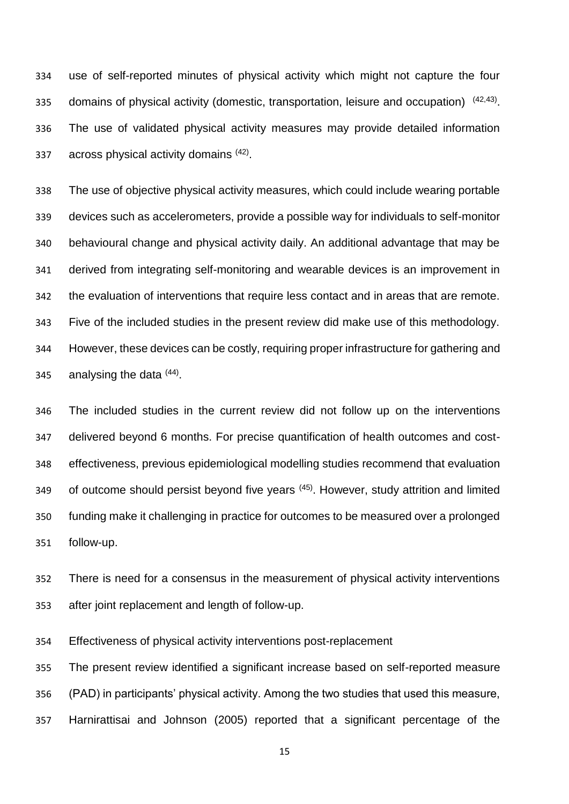use of self-reported minutes of physical activity which might not capture the four 335 domains of physical activity (domestic, transportation, leisure and occupation)  $(42,43)$ . The use of validated physical activity measures may provide detailed information 337 across physical activity domains  $(42)$ .

 The use of objective physical activity measures, which could include wearing portable devices such as accelerometers, provide a possible way for individuals to self-monitor behavioural change and physical activity daily. An additional advantage that may be derived from integrating self-monitoring and wearable devices is an improvement in the evaluation of interventions that require less contact and in areas that are remote. Five of the included studies in the present review did make use of this methodology. However, these devices can be costly, requiring proper infrastructure for gathering and 345 analysing the data  $(44)$ .

 The included studies in the current review did not follow up on the interventions delivered beyond 6 months. For precise quantification of health outcomes and cost- effectiveness, previous epidemiological modelling studies recommend that evaluation 349 of outcome should persist beyond five years  $(45)$ . However, study attrition and limited funding make it challenging in practice for outcomes to be measured over a prolonged follow-up.

 There is need for a consensus in the measurement of physical activity interventions after joint replacement and length of follow-up.

Effectiveness of physical activity interventions post-replacement

 The present review identified a significant increase based on self-reported measure (PAD) in participants' physical activity. Among the two studies that used this measure, Harnirattisai and Johnson (2005) reported that a significant percentage of the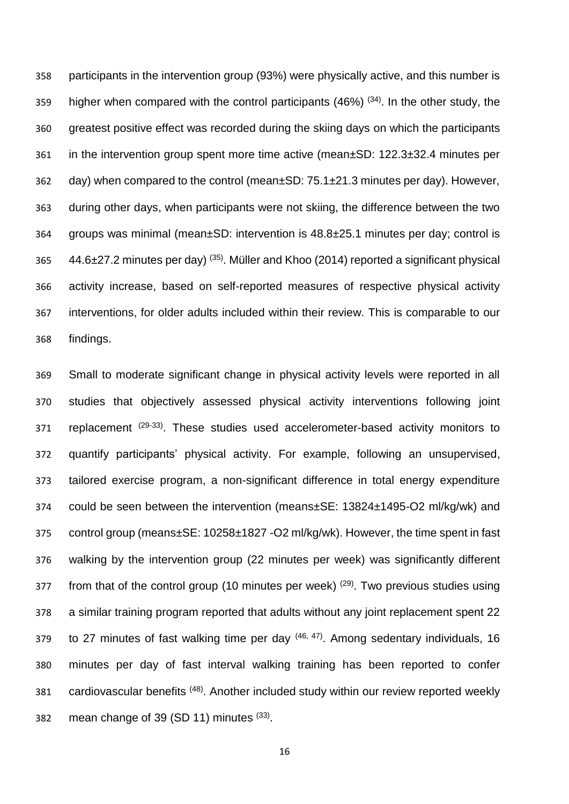participants in the intervention group (93%) were physically active, and this number is 359 higher when compared with the control participants  $(46%)^{(34)}$ . In the other study, the greatest positive effect was recorded during the skiing days on which the participants in the intervention group spent more time active (mean±SD: 122.3±32.4 minutes per day) when compared to the control (mean±SD: 75.1±21.3 minutes per day). However, during other days, when participants were not skiing, the difference between the two groups was minimal (mean±SD: intervention is 48.8±25.1 minutes per day; control is  $44.6\pm 27.2$  minutes per day) (35). Müller and Khoo (2014) reported a significant physical activity increase, based on self-reported measures of respective physical activity interventions, for older adults included within their review. This is comparable to our findings.

 Small to moderate significant change in physical activity levels were reported in all studies that objectively assessed physical activity interventions following joint 371 replacement (29-33). These studies used accelerometer-based activity monitors to quantify participants' physical activity. For example, following an unsupervised, tailored exercise program, a non-significant difference in total energy expenditure could be seen between the intervention (means±SE: 13824±1495-O2 ml/kg/wk) and control group (means±SE: 10258±1827 -O2 ml/kg/wk). However, the time spent in fast walking by the intervention group (22 minutes per week) was significantly different from that of the control group (10 minutes per week)  $(29)$ . Two previous studies using a similar training program reported that adults without any joint replacement spent 22 379 to 27 minutes of fast walking time per day  $(46, 47)$ . Among sedentary individuals, 16 minutes per day of fast interval walking training has been reported to confer 381 cardiovascular benefits (48). Another included study within our review reported weekly 382 mean change of 39 (SD 11) minutes  $(33)$ .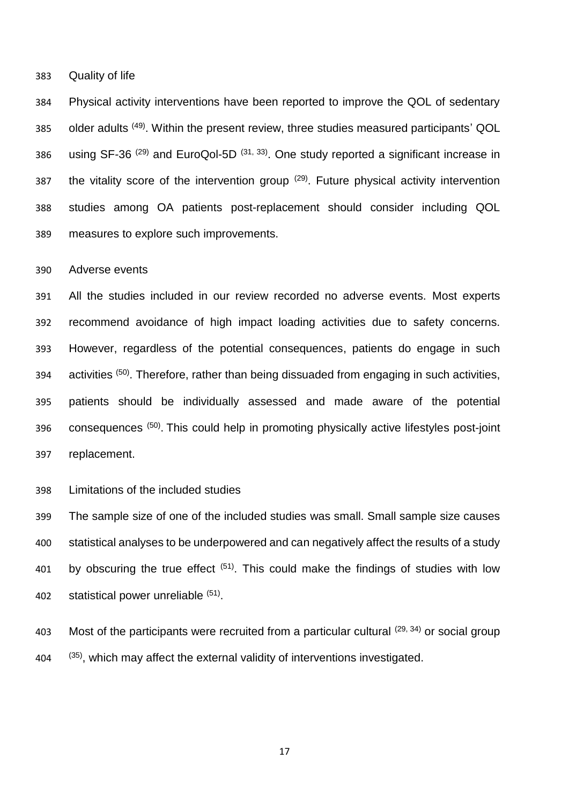Quality of life

 Physical activity interventions have been reported to improve the QOL of sedentary 385 older adults <sup>(49)</sup>. Within the present review, three studies measured participants' QOL 386 using SF-36  $(29)$  and EuroQol-5D  $(31, 33)$ . One study reported a significant increase in 387 the vitality score of the intervention group  $(29)$ . Future physical activity intervention studies among OA patients post-replacement should consider including QOL measures to explore such improvements.

Adverse events

 All the studies included in our review recorded no adverse events. Most experts recommend avoidance of high impact loading activities due to safety concerns. However, regardless of the potential consequences, patients do engage in such 394 activities <sup>(50)</sup>. Therefore, rather than being dissuaded from engaging in such activities, patients should be individually assessed and made aware of the potential 396 consequences <sup>(50)</sup>. This could help in promoting physically active lifestyles post-joint replacement.

Limitations of the included studies

 The sample size of one of the included studies was small. Small sample size causes statistical analyses to be underpowered and can negatively affect the results of a study 401 by obscuring the true effect  $(51)$ . This could make the findings of studies with low 402 statistical power unreliable  $(51)$ .

403 Most of the participants were recruited from a particular cultural  $(29, 34)$  or social group  $(35)$ , which may affect the external validity of interventions investigated.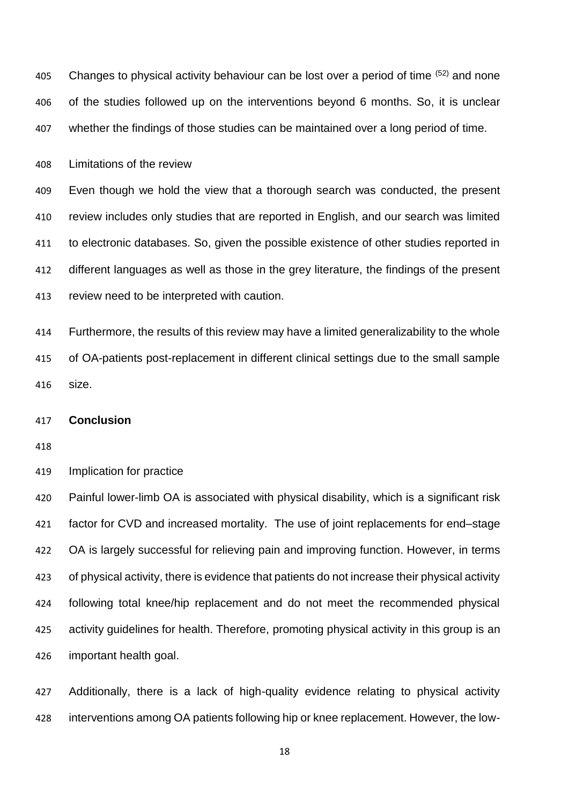405 Changes to physical activity behaviour can be lost over a period of time  $(52)$  and none of the studies followed up on the interventions beyond 6 months. So, it is unclear whether the findings of those studies can be maintained over a long period of time.

Limitations of the review

 Even though we hold the view that a thorough search was conducted, the present review includes only studies that are reported in English, and our search was limited to electronic databases. So, given the possible existence of other studies reported in different languages as well as those in the grey literature, the findings of the present review need to be interpreted with caution.

 Furthermore, the results of this review may have a limited generalizability to the whole of OA-patients post-replacement in different clinical settings due to the small sample size.

### **Conclusion**

Implication for practice

 Painful lower-limb OA is associated with physical disability, which is a significant risk factor for CVD and increased mortality. The use of joint replacements for end–stage OA is largely successful for relieving pain and improving function. However, in terms of physical activity, there is evidence that patients do not increase their physical activity following total knee/hip replacement and do not meet the recommended physical activity guidelines for health. Therefore, promoting physical activity in this group is an important health goal.

 Additionally, there is a lack of high-quality evidence relating to physical activity interventions among OA patients following hip or knee replacement. However, the low-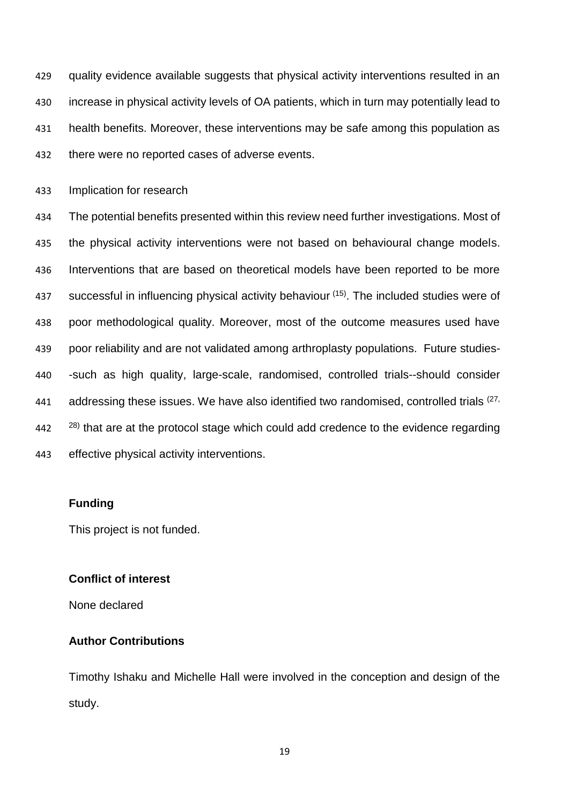quality evidence available suggests that physical activity interventions resulted in an increase in physical activity levels of OA patients, which in turn may potentially lead to health benefits. Moreover, these interventions may be safe among this population as there were no reported cases of adverse events.

Implication for research

 The potential benefits presented within this review need further investigations. Most of the physical activity interventions were not based on behavioural change models. Interventions that are based on theoretical models have been reported to be more 437 successful in influencing physical activity behaviour  $(15)$ . The included studies were of poor methodological quality. Moreover, most of the outcome measures used have poor reliability and are not validated among arthroplasty populations. Future studies- -such as high quality, large-scale, randomised, controlled trials--should consider 441 addressing these issues. We have also identified two randomised, controlled trials  $(27, 441)$   $28)$  that are at the protocol stage which could add credence to the evidence regarding effective physical activity interventions.

# **Funding**

This project is not funded.

#### **Conflict of interest**

None declared

# **Author Contributions**

Timothy Ishaku and Michelle Hall were involved in the conception and design of the study.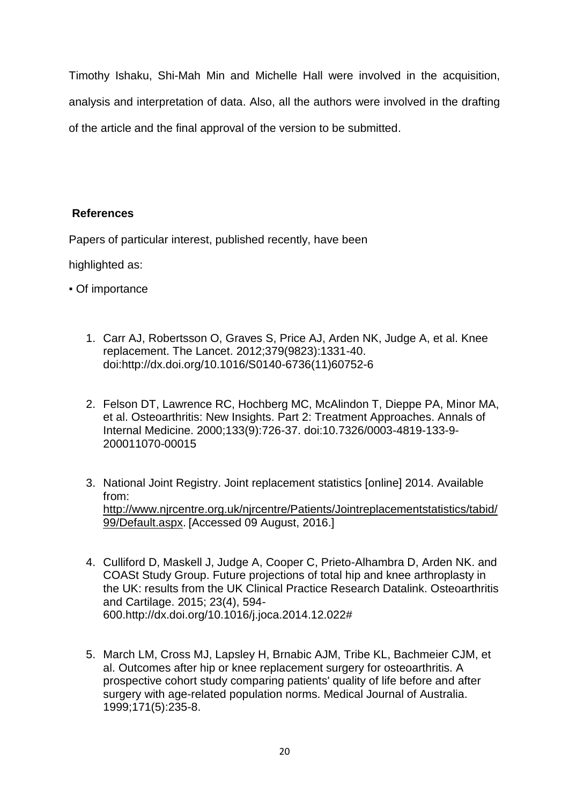Timothy Ishaku, Shi-Mah Min and Michelle Hall were involved in the acquisition, analysis and interpretation of data. Also, all the authors were involved in the drafting of the article and the final approval of the version to be submitted.

# **References**

Papers of particular interest, published recently, have been

highlighted as:

- Of importance
	- 1. Carr AJ, Robertsson O, Graves S, Price AJ, Arden NK, Judge A, et al. Knee replacement. The Lancet. 2012;379(9823):1331-40. doi:http://dx.doi.org/10.1016/S0140-6736(11)60752-6
	- 2. Felson DT, Lawrence RC, Hochberg MC, McAlindon T, Dieppe PA, Minor MA, et al. Osteoarthritis: New Insights. Part 2: Treatment Approaches. Annals of Internal Medicine. 2000;133(9):726-37. doi:10.7326/0003-4819-133-9- 200011070-00015
	- 3. National Joint Registry. Joint replacement statistics [online] 2014. Available from: [http://www.njrcentre.org.uk/njrcentre/Patients/Jointreplacementstatistics/tabid/](http://www.njrcentre.org.uk/njrcentre/Patients/Jointreplacementstatistics/tabid/99/Default.aspx) [99/Default.aspx.](http://www.njrcentre.org.uk/njrcentre/Patients/Jointreplacementstatistics/tabid/99/Default.aspx) [Accessed 09 August, 2016.]
	- 4. Culliford D, Maskell J, Judge A, Cooper C, Prieto-Alhambra D, Arden NK. and COASt Study Group. Future projections of total hip and knee arthroplasty in the UK: results from the UK Clinical Practice Research Datalink. Osteoarthritis and Cartilage. 2015; 23(4), 594- 600.http://dx.doi.org/10.1016/j.joca.2014.12.022#
	- 5. March LM, Cross MJ, Lapsley H, Brnabic AJM, Tribe KL, Bachmeier CJM, et al. Outcomes after hip or knee replacement surgery for osteoarthritis. A prospective cohort study comparing patients' quality of life before and after surgery with age-related population norms. Medical Journal of Australia. 1999;171(5):235-8.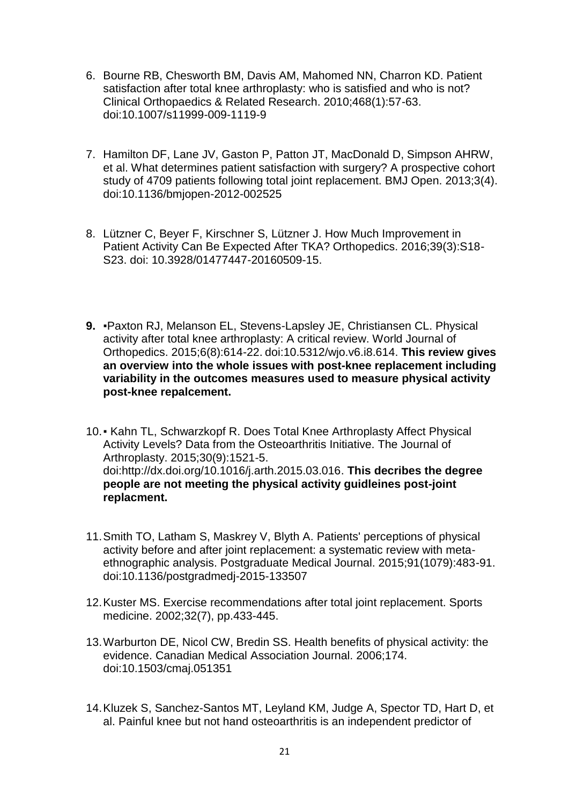- 6. Bourne RB, Chesworth BM, Davis AM, Mahomed NN, Charron KD. Patient satisfaction after total knee arthroplasty: who is satisfied and who is not? Clinical Orthopaedics & Related Research. 2010;468(1):57-63. doi:10.1007/s11999-009-1119-9
- 7. Hamilton DF, Lane JV, Gaston P, Patton JT, MacDonald D, Simpson AHRW, et al. What determines patient satisfaction with surgery? A prospective cohort study of 4709 patients following total joint replacement. BMJ Open. 2013;3(4). doi:10.1136/bmjopen-2012-002525
- 8. Lützner C, Beyer F, Kirschner S, Lützner J. How Much Improvement in Patient Activity Can Be Expected After TKA? Orthopedics. 2016;39(3):S18- S23. doi: 10.3928/01477447-20160509-15.
- **9.** ▪Paxton RJ, Melanson EL, Stevens-Lapsley JE, Christiansen CL. Physical activity after total knee arthroplasty: A critical review. World Journal of Orthopedics. 2015;6(8):614-22. doi:10.5312/wjo.v6.i8.614. **This review gives an overview into the whole issues with post-knee replacement including variability in the outcomes measures used to measure physical activity post-knee repalcement.**
- 10.▪ Kahn TL, Schwarzkopf R. Does Total Knee Arthroplasty Affect Physical Activity Levels? Data from the Osteoarthritis Initiative. The Journal of Arthroplasty. 2015;30(9):1521-5. doi:http://dx.doi.org/10.1016/j.arth.2015.03.016. **This decribes the degree people are not meeting the physical activity guidleines post-joint replacment.**
- 11.Smith TO, Latham S, Maskrey V, Blyth A. Patients' perceptions of physical activity before and after joint replacement: a systematic review with metaethnographic analysis. Postgraduate Medical Journal. 2015;91(1079):483-91. doi:10.1136/postgradmedj-2015-133507
- 12.Kuster MS. Exercise recommendations after total joint replacement. Sports medicine. 2002;32(7), pp.433-445.
- 13.Warburton DE, Nicol CW, Bredin SS. Health benefits of physical activity: the evidence. Canadian Medical Association Journal. 2006;174. doi:10.1503/cmaj.051351
- 14.Kluzek S, Sanchez-Santos MT, Leyland KM, Judge A, Spector TD, Hart D, et al. Painful knee but not hand osteoarthritis is an independent predictor of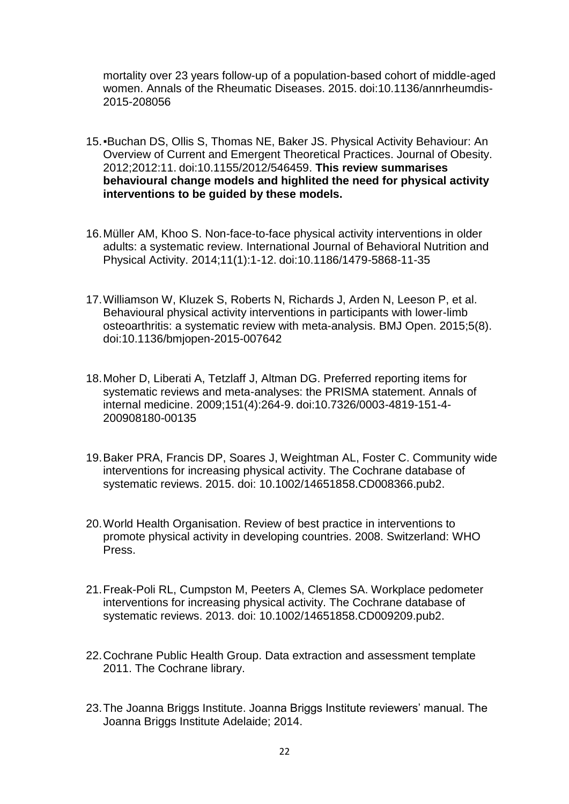mortality over 23 years follow-up of a population-based cohort of middle-aged women. Annals of the Rheumatic Diseases. 2015. doi:10.1136/annrheumdis-2015-208056

- 15.▪Buchan DS, Ollis S, Thomas NE, Baker JS. Physical Activity Behaviour: An Overview of Current and Emergent Theoretical Practices. Journal of Obesity. 2012;2012:11. doi:10.1155/2012/546459. **This review summarises behavioural change models and highlited the need for physical activity interventions to be guided by these models.**
- 16.Müller AM, Khoo S. Non-face-to-face physical activity interventions in older adults: a systematic review. International Journal of Behavioral Nutrition and Physical Activity. 2014;11(1):1-12. doi:10.1186/1479-5868-11-35
- 17.Williamson W, Kluzek S, Roberts N, Richards J, Arden N, Leeson P, et al. Behavioural physical activity interventions in participants with lower-limb osteoarthritis: a systematic review with meta-analysis. BMJ Open. 2015;5(8). doi:10.1136/bmjopen-2015-007642
- 18.Moher D, Liberati A, Tetzlaff J, Altman DG. Preferred reporting items for systematic reviews and meta-analyses: the PRISMA statement. Annals of internal medicine. 2009;151(4):264-9. doi:10.7326/0003-4819-151-4- 200908180-00135
- 19.Baker PRA, Francis DP, Soares J, Weightman AL, Foster C. Community wide interventions for increasing physical activity. The Cochrane database of systematic reviews. 2015. doi: 10.1002/14651858.CD008366.pub2.
- 20.World Health Organisation. Review of best practice in interventions to promote physical activity in developing countries. 2008. Switzerland: WHO Press.
- 21.Freak-Poli RL, Cumpston M, Peeters A, Clemes SA. Workplace pedometer interventions for increasing physical activity. The Cochrane database of systematic reviews. 2013. doi: 10.1002/14651858.CD009209.pub2.
- 22.Cochrane Public Health Group. Data extraction and assessment template 2011. The Cochrane library.
- 23.The Joanna Briggs Institute. Joanna Briggs Institute reviewers' manual. The Joanna Briggs Institute Adelaide; 2014.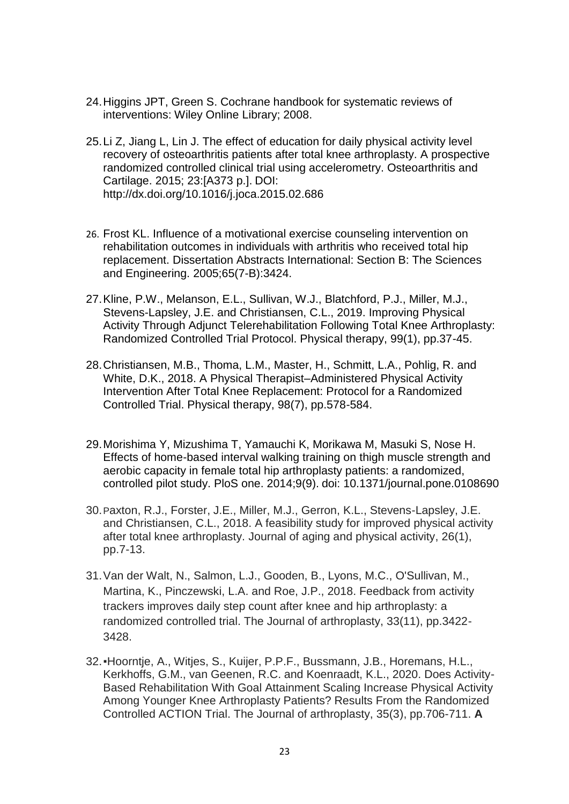- 24.Higgins JPT, Green S. Cochrane handbook for systematic reviews of interventions: Wiley Online Library; 2008.
- 25.Li Z, Jiang L, Lin J. The effect of education for daily physical activity level recovery of osteoarthritis patients after total knee arthroplasty. A prospective randomized controlled clinical trial using accelerometry. Osteoarthritis and Cartilage. 2015; 23:[A373 p.]. DOI: http://dx.doi.org/10.1016/j.joca.2015.02.686
- 26. Frost KL. Influence of a motivational exercise counseling intervention on rehabilitation outcomes in individuals with arthritis who received total hip replacement. Dissertation Abstracts International: Section B: The Sciences and Engineering. 2005;65(7-B):3424.
- 27.Kline, P.W., Melanson, E.L., Sullivan, W.J., Blatchford, P.J., Miller, M.J., Stevens-Lapsley, J.E. and Christiansen, C.L., 2019. Improving Physical Activity Through Adjunct Telerehabilitation Following Total Knee Arthroplasty: Randomized Controlled Trial Protocol. Physical therapy, 99(1), pp.37-45.
- 28.Christiansen, M.B., Thoma, L.M., Master, H., Schmitt, L.A., Pohlig, R. and White, D.K., 2018. A Physical Therapist–Administered Physical Activity Intervention After Total Knee Replacement: Protocol for a Randomized Controlled Trial. Physical therapy, 98(7), pp.578-584.
- 29.Morishima Y, Mizushima T, Yamauchi K, Morikawa M, Masuki S, Nose H. Effects of home-based interval walking training on thigh muscle strength and aerobic capacity in female total hip arthroplasty patients: a randomized, controlled pilot study. PloS one. 2014;9(9). doi: 10.1371/journal.pone.0108690
- 30.Paxton, R.J., Forster, J.E., Miller, M.J., Gerron, K.L., Stevens-Lapsley, J.E. and Christiansen, C.L., 2018. A feasibility study for improved physical activity after total knee arthroplasty. Journal of aging and physical activity, 26(1), pp.7-13.
- 31.Van der Walt, N., Salmon, L.J., Gooden, B., Lyons, M.C., O'Sullivan, M., Martina, K., Pinczewski, L.A. and Roe, J.P., 2018. Feedback from activity trackers improves daily step count after knee and hip arthroplasty: a randomized controlled trial. The Journal of arthroplasty, 33(11), pp.3422- 3428.
- 32.▪Hoorntje, A., Witjes, S., Kuijer, P.P.F., Bussmann, J.B., Horemans, H.L., Kerkhoffs, G.M., van Geenen, R.C. and Koenraadt, K.L., 2020. Does Activity-Based Rehabilitation With Goal Attainment Scaling Increase Physical Activity Among Younger Knee Arthroplasty Patients? Results From the Randomized Controlled ACTION Trial. The Journal of arthroplasty, 35(3), pp.706-711. **A**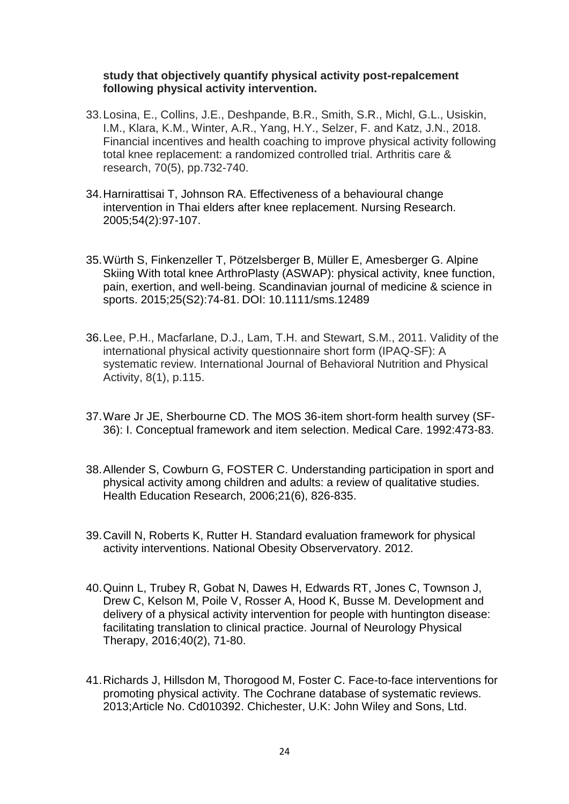# **study that objectively quantify physical activity post-repalcement following physical activity intervention.**

- 33.Losina, E., Collins, J.E., Deshpande, B.R., Smith, S.R., Michl, G.L., Usiskin, I.M., Klara, K.M., Winter, A.R., Yang, H.Y., Selzer, F. and Katz, J.N., 2018. Financial incentives and health coaching to improve physical activity following total knee replacement: a randomized controlled trial. Arthritis care & research, 70(5), pp.732-740.
- 34.Harnirattisai T, Johnson RA. Effectiveness of a behavioural change intervention in Thai elders after knee replacement. Nursing Research. 2005;54(2):97-107.
- 35.Würth S, Finkenzeller T, Pötzelsberger B, Müller E, Amesberger G. Alpine Skiing With total knee ArthroPlasty (ASWAP): physical activity, knee function, pain, exertion, and well‐being. Scandinavian journal of medicine & science in sports. 2015;25(S2):74-81. DOI: 10.1111/sms.12489
- 36.Lee, P.H., Macfarlane, D.J., Lam, T.H. and Stewart, S.M., 2011. Validity of the international physical activity questionnaire short form (IPAQ-SF): A systematic review. International Journal of Behavioral Nutrition and Physical Activity, 8(1), p.115.
- 37.Ware Jr JE, Sherbourne CD. The MOS 36-item short-form health survey (SF-36): I. Conceptual framework and item selection. Medical Care. 1992:473-83.
- 38.Allender S, Cowburn G, FOSTER C. Understanding participation in sport and physical activity among children and adults: a review of qualitative studies. Health Education Research, 2006;21(6), 826-835.
- 39.Cavill N, Roberts K, Rutter H. Standard evaluation framework for physical activity interventions. National Obesity Observervatory. 2012.
- 40.Quinn L, Trubey R, Gobat N, Dawes H, Edwards RT, Jones C, Townson J, Drew C, Kelson M, Poile V, Rosser A, Hood K, Busse M. Development and delivery of a physical activity intervention for people with huntington disease: facilitating translation to clinical practice. Journal of Neurology Physical Therapy, 2016;40(2), 71-80.
- 41.Richards J, Hillsdon M, Thorogood M, Foster C. Face-to-face interventions for promoting physical activity. The Cochrane database of systematic reviews. 2013;Article No. Cd010392. Chichester, U.K: John Wiley and Sons, Ltd.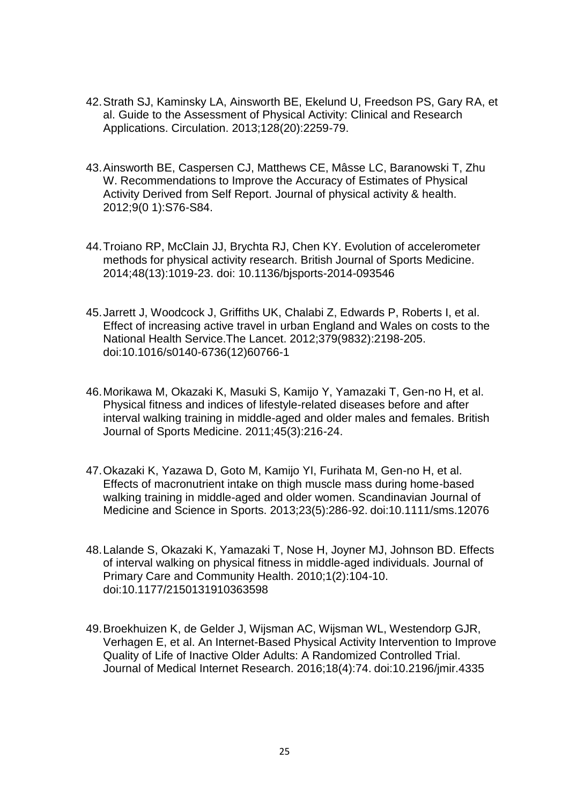- 42.Strath SJ, Kaminsky LA, Ainsworth BE, Ekelund U, Freedson PS, Gary RA, et al. Guide to the Assessment of Physical Activity: Clinical and Research Applications. Circulation. 2013;128(20):2259-79.
- 43.Ainsworth BE, Caspersen CJ, Matthews CE, Mâsse LC, Baranowski T, Zhu W. Recommendations to Improve the Accuracy of Estimates of Physical Activity Derived from Self Report. Journal of physical activity & health. 2012;9(0 1):S76-S84.
- 44.Troiano RP, McClain JJ, Brychta RJ, Chen KY. Evolution of accelerometer methods for physical activity research. British Journal of Sports Medicine. 2014;48(13):1019-23. doi: 10.1136/bjsports-2014-093546
- 45.Jarrett J, Woodcock J, Griffiths UK, Chalabi Z, Edwards P, Roberts I, et al. Effect of increasing active travel in urban England and Wales on costs to the National Health Service.The Lancet. 2012;379(9832):2198-205. doi:10.1016/s0140-6736(12)60766-1
- 46.Morikawa M, Okazaki K, Masuki S, Kamijo Y, Yamazaki T, Gen-no H, et al. Physical fitness and indices of lifestyle-related diseases before and after interval walking training in middle-aged and older males and females. British Journal of Sports Medicine. 2011;45(3):216-24.
- 47.Okazaki K, Yazawa D, Goto M, Kamijo YI, Furihata M, Gen-no H, et al. Effects of macronutrient intake on thigh muscle mass during home-based walking training in middle-aged and older women. Scandinavian Journal of Medicine and Science in Sports. 2013;23(5):286-92. doi:10.1111/sms.12076
- 48.Lalande S, Okazaki K, Yamazaki T, Nose H, Joyner MJ, Johnson BD. Effects of interval walking on physical fitness in middle-aged individuals. Journal of Primary Care and Community Health. 2010;1(2):104-10. doi:10.1177/2150131910363598
- 49.Broekhuizen K, de Gelder J, Wijsman AC, Wijsman WL, Westendorp GJR, Verhagen E, et al. An Internet-Based Physical Activity Intervention to Improve Quality of Life of Inactive Older Adults: A Randomized Controlled Trial. Journal of Medical Internet Research. 2016;18(4):74. doi:10.2196/jmir.4335